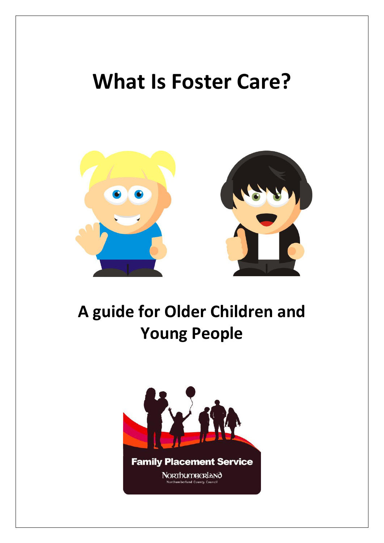# **What Is Foster Care?**



## **A guide for Older Children and Young People**

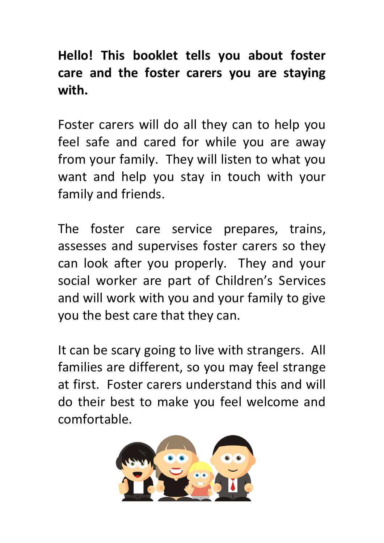**Hello! This booklet tells you about foster care and the foster carers you are staying with.**

Foster carers will do all they can to help you feel safe and cared for while you are away from your family. They will listen to what you want and help you stay in touch with your family and friends.

The foster care service prepares, trains, assesses and supervises foster carers so they can look after you properly. They and your social worker are part of Children's Services and will work with you and your family to give you the best care that they can.

It can be scary going to live with strangers. All families are different, so you may feel strange at first. Foster carers understand this and will do their best to make you feel welcome and comfortable.

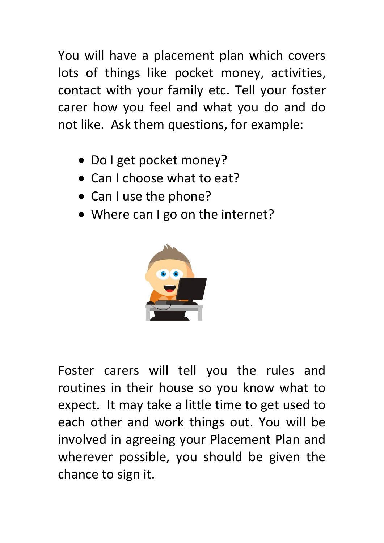You will have a placement plan which covers lots of things like pocket money, activities, contact with your family etc. Tell your foster carer how you feel and what you do and do not like. Ask them questions, for example:

- Do I get pocket money?
- Can I choose what to eat?
- Can I use the phone?
- Where can I go on the internet?



Foster carers will tell you the rules and routines in their house so you know what to expect. It may take a little time to get used to each other and work things out. You will be involved in agreeing your Placement Plan and wherever possible, you should be given the chance to sign it.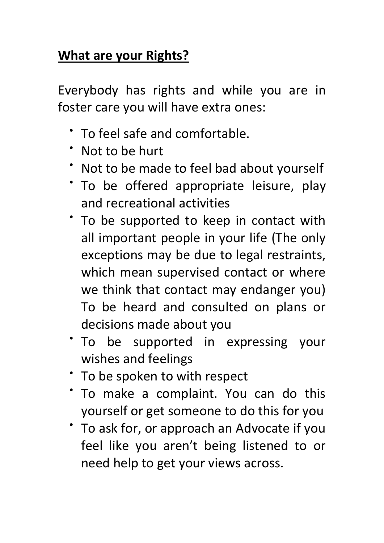## **What are your Rights?**

Everybody has rights and while you are in foster care you will have extra ones:

- To feel safe and comfortable.
- Not to be hurt
- \* Not to be made to feel bad about yourself
- To be offered appropriate leisure, play and recreational activities
- To be supported to keep in contact with all important people in your life (The only exceptions may be due to legal restraints, which mean supervised contact or where we think that contact may endanger you) To be heard and consulted on plans or decisions made about you
- To be supported in expressing your wishes and feelings
- To be spoken to with respect
- To make a complaint. You can do this yourself or get someone to do this for you
- To ask for, or approach an Advocate if you feel like you aren't being listened to or need help to get your views across.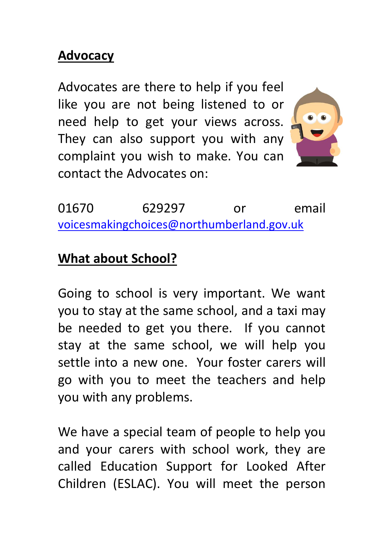## **Advocacy**

Advocates are there to help if you feel like you are not being listened to or need help to get your views across. They can also support you with any complaint you wish to make. You can contact the Advocates on:



01670 629297 or email [voicesmakingchoices@northumberland.gov.uk](mailto:voicesmakingchoices@northumberland.gov.uk)

#### **What about School?**

Going to school is very important. We want you to stay at the same school, and a taxi may be needed to get you there. If you cannot stay at the same school, we will help you settle into a new one. Your foster carers will go with you to meet the teachers and help you with any problems.

We have a special team of people to help you and your carers with school work, they are called Education Support for Looked After Children (ESLAC). You will meet the person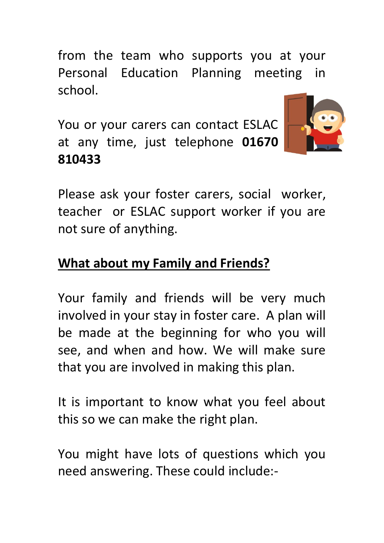from the team who supports you at your Personal Education Planning meeting in school.

You or your carers can contact ESLAC at any time, just telephone **01670 810433**



Please ask your foster carers, social worker, teacher or ESLAC support worker if you are not sure of anything.

## **What about my Family and Friends?**

Your family and friends will be very much involved in your stay in foster care. A plan will be made at the beginning for who you will see, and when and how. We will make sure that you are involved in making this plan.

It is important to know what you feel about this so we can make the right plan.

You might have lots of questions which you need answering. These could include:-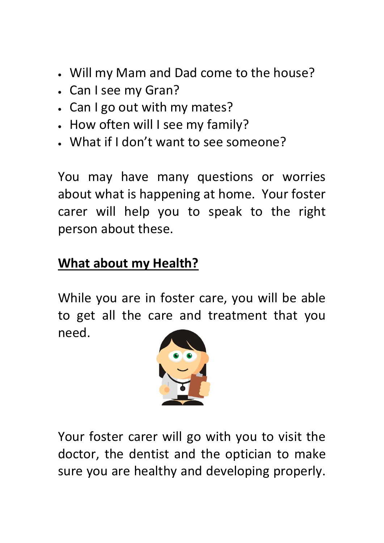- Will my Mam and Dad come to the house?
- Can I see my Gran?
- Can I go out with my mates?
- How often will I see my family?
- What if I don't want to see someone?

You may have many questions or worries about what is happening at home. Your foster carer will help you to speak to the right person about these.

#### **What about my Health?**

While you are in foster care, you will be able to get all the care and treatment that you need.



Your foster carer will go with you to visit the doctor, the dentist and the optician to make sure you are healthy and developing properly.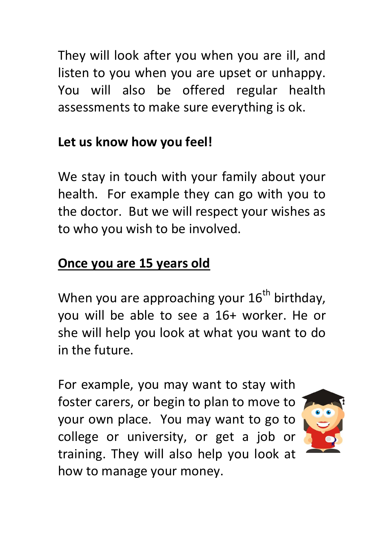They will look after you when you are ill, and listen to you when you are upset or unhappy. You will also be offered regular health assessments to make sure everything is ok.

## **Let us know how you feel!**

We stay in touch with your family about your health. For example they can go with you to the doctor. But we will respect your wishes as to who you wish to be involved.

#### **Once you are 15 years old**

When you are approaching your  $16<sup>th</sup>$  birthday, you will be able to see a 16+ worker. He or she will help you look at what you want to do in the future.

For example, you may want to stay with foster carers, or begin to plan to move to your own place. You may want to go to college or university, or get a job or training. They will also help you look at how to manage your money.

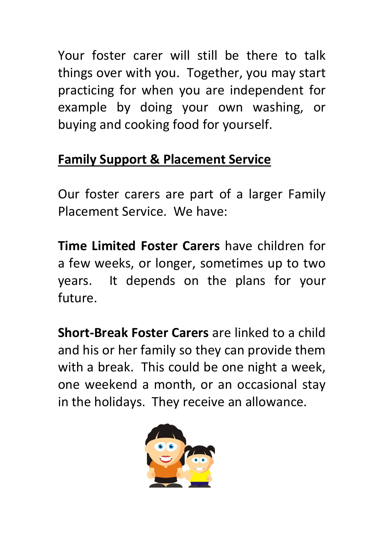Your foster carer will still be there to talk things over with you. Together, you may start practicing for when you are independent for example by doing your own washing, or buying and cooking food for yourself.

## **Family Support & Placement Service**

Our foster carers are part of a larger Family Placement Service. We have:

**Time Limited Foster Carers** have children for a few weeks, or longer, sometimes up to two years. It depends on the plans for your future.

**Short-Break Foster Carers** are linked to a child and his or her family so they can provide them with a break. This could be one night a week, one weekend a month, or an occasional stay in the holidays. They receive an allowance.

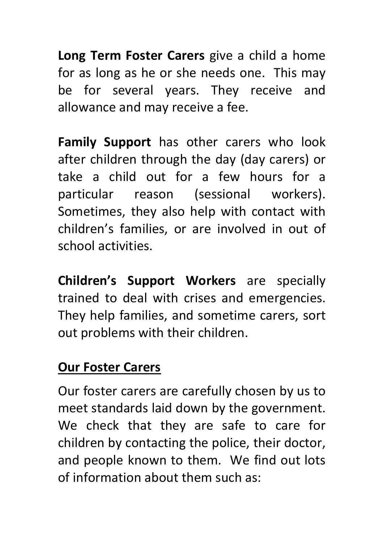**Long Term Foster Carers** give a child a home for as long as he or she needs one. This may be for several years. They receive and allowance and may receive a fee.

**Family Support** has other carers who look after children through the day (day carers) or take a child out for a few hours for a particular reason (sessional workers). Sometimes, they also help with contact with children's families, or are involved in out of school activities.

**Children's Support Workers** are specially trained to deal with crises and emergencies. They help families, and sometime carers, sort out problems with their children.

#### **Our Foster Carers**

Our foster carers are carefully chosen by us to meet standards laid down by the government. We check that they are safe to care for children by contacting the police, their doctor, and people known to them. We find out lots of information about them such as: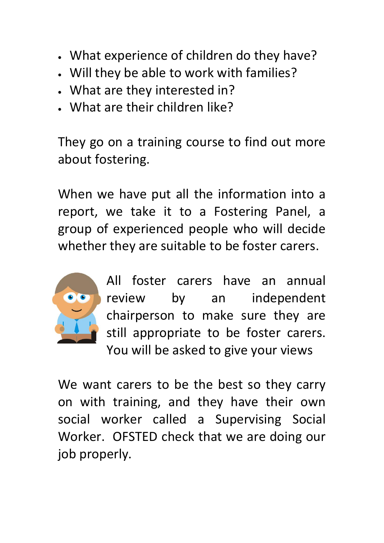- What experience of children do they have?
- Will they be able to work with families?
- What are they interested in?
- What are their children like?

They go on a training course to find out more about fostering.

When we have put all the information into a report, we take it to a Fostering Panel, a group of experienced people who will decide whether they are suitable to be foster carers.



All foster carers have an annual review by an independent chairperson to make sure they are still appropriate to be foster carers. You will be asked to give your views

We want carers to be the best so they carry on with training, and they have their own social worker called a Supervising Social Worker. OFSTED check that we are doing our job properly.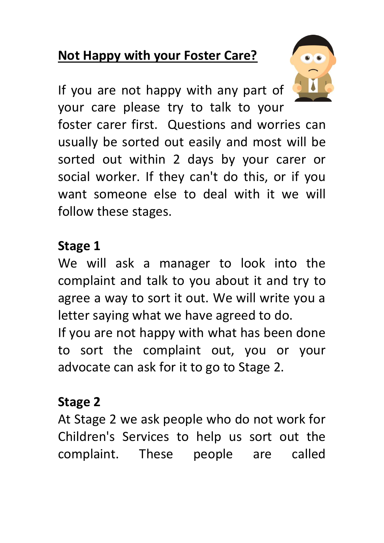## **Not Happy with your Foster Care?**

If you are not happy with any part of your care please try to talk to your



foster carer first. Questions and worries can usually be sorted out easily and most will be sorted out within 2 days by your carer or social worker. If they can't do this, or if you want someone else to deal with it we will follow these stages.

#### **Stage 1**

We will ask a manager to look into the complaint and talk to you about it and try to agree a way to sort it out. We will write you a letter saying what we have agreed to do. If you are not happy with what has been done to sort the complaint out, you or your advocate can ask for it to go to Stage 2.

#### **Stage 2**

At Stage 2 we ask people who do not work for Children's Services to help us sort out the complaint. These people are called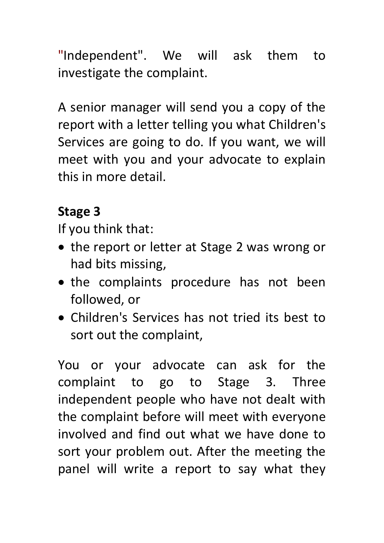"Independent". We will ask them to investigate the complaint.

A senior manager will send you a copy of the report with a letter telling you what Children's Services are going to do. If you want, we will meet with you and your advocate to explain this in more detail.

#### **Stage 3**

If you think that:

- the report or letter at Stage 2 was wrong or had bits missing,
- the complaints procedure has not been followed, or
- Children's Services has not tried its best to sort out the complaint,

You or your advocate can ask for the complaint to go to Stage 3. Three independent people who have not dealt with the complaint before will meet with everyone involved and find out what we have done to sort your problem out. After the meeting the panel will write a report to say what they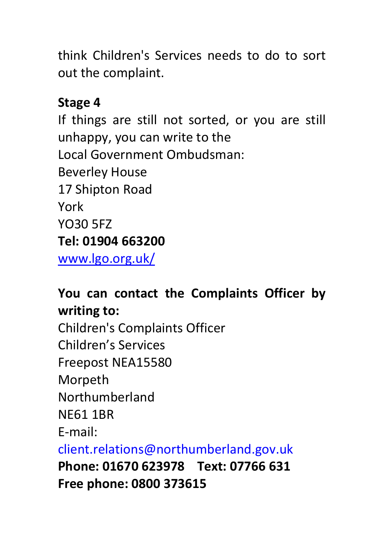think Children's Services needs to do to sort out the complaint.

#### **Stage 4**

If things are still not sorted, or you are still unhappy, you can write to the Local Government Ombudsman: Beverley House 17 Shipton Road York YO30 5FZ **Tel: 01904 663200**

[www.lgo.org.uk/](http://www.lgo.org.uk/)

#### **You can contact the Complaints Officer by writing to:**

Children's Complaints Officer Children's Services Freepost NEA15580 Morpeth Northumberland NE61 1BR E-mail: client.relations@northumberland.gov.uk **Phone: 01670 623978 Text: 07766 631 Free phone: 0800 373615**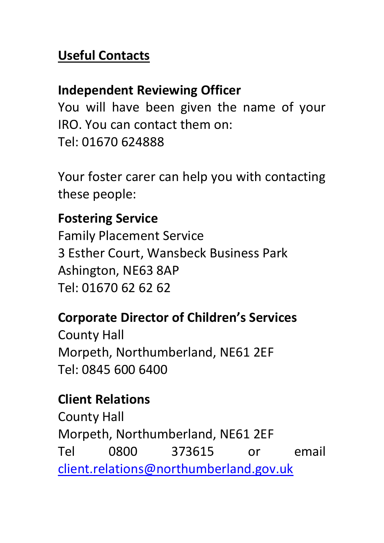#### **Useful Contacts**

#### **Independent Reviewing Officer**

You will have been given the name of your IRO. You can contact them on: Tel: 01670 624888

Your foster carer can help you with contacting these people:

#### **Fostering Service**

Family Placement Service 3 Esther Court, Wansbeck Business Park Ashington, NE63 8AP Tel: 01670 62 62 62

#### **Corporate Director of Children's Services**

County Hall Morpeth, Northumberland, NE61 2EF Tel: 0845 600 6400

## **Client Relations**

County Hall Morpeth, Northumberland, NE61 2EF Tel 0800 373615 or email [client.relations@northumberland.gov.uk](mailto:client.relations@northumberland.gov.uk)